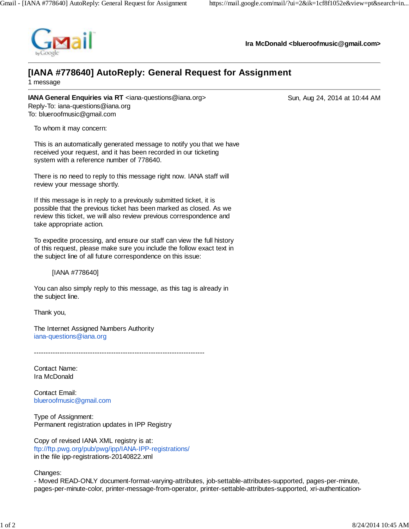

**Ira McDonald <blueroofmusic@gmail.com>**

## **[IANA #778640] AutoReply: General Request for Assignment**

1 message

**IANA General Enquiries via RT** <iana-questions@iana.org> Sun, Aug 24, 2014 at 10:44 AM Reply-To: iana-questions@iana.org To: blueroofmusic@gmail.com

To whom it may concern:

This is an automatically generated message to notify you that we have received your request, and it has been recorded in our ticketing system with a reference number of 778640.

There is no need to reply to this message right now. IANA staff will review your message shortly.

If this message is in reply to a previously submitted ticket, it is possible that the previous ticket has been marked as closed. As we review this ticket, we will also review previous correspondence and take appropriate action.

To expedite processing, and ensure our staff can view the full history of this request, please make sure you include the follow exact text in the subject line of all future correspondence on this issue:

[IANA #778640]

You can also simply reply to this message, as this tag is already in the subject line.

Thank you,

The Internet Assigned Numbers Authority iana-questions@iana.org

-------------------------------------------------------------------------

Contact Name: Ira McDonald

Contact Email: blueroofmusic@gmail.com

Type of Assignment: Permanent registration updates in IPP Registry

Copy of revised IANA XML registry is at: ftp://ftp.pwg.org/pub/pwg/ipp/IANA-IPP-registrations/ in the file ipp-registrations-20140822.xml

Changes:

- Moved READ-ONLY document-format-varying-attributes, job-settable-attributes-supported, pages-per-minute, pages-per-minute-color, printer-message-from-operator, printer-settable-attributes-supported, xri-authentication-